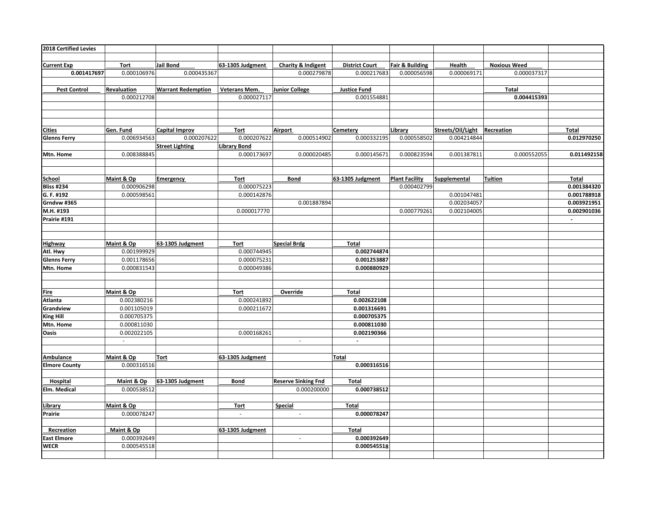| 2018 Certified Levies |             |                           |                             |                             |                       |                       |                   |                     |                |
|-----------------------|-------------|---------------------------|-----------------------------|-----------------------------|-----------------------|-----------------------|-------------------|---------------------|----------------|
|                       |             |                           |                             |                             |                       |                       |                   |                     |                |
| <b>Current Exp</b>    | Tort        | Jail Bond                 | 63-1305 Judgment            | Charity & Indigent          | <b>District Court</b> | Fair & Building       | Health            | <b>Noxious Weed</b> |                |
| 0.001417697           | 0.000106976 | 0.000435367               |                             | 0.000279878                 | 0.000217683           | 0.000056598           | 0.000069171       | 0.000037317         |                |
|                       |             |                           |                             |                             |                       |                       |                   |                     |                |
| <b>Pest Control</b>   | Revaluation | <b>Warrant Redemption</b> | Veterans Mem.               | <b>Junior College</b>       | <b>Justice Fund</b>   |                       |                   | Total               |                |
|                       | 0.000212708 |                           | 0.000027117                 |                             | 0.001554881           |                       |                   | 0.004415393         |                |
|                       |             |                           |                             |                             |                       |                       |                   |                     |                |
|                       |             |                           |                             |                             |                       |                       |                   |                     |                |
|                       |             |                           |                             |                             |                       |                       |                   |                     |                |
| <b>Cities</b>         | Gen. Fund   | <b>Capital Improv</b>     | <b>Tort</b>                 | Airport                     | Cemetery              | Library               | Streets/Oil/Light | Recreation          | Total          |
| <b>Glenns Ferry</b>   | 0.006934563 | 0.000207622               | 0.000207622                 | 0.000514902                 | 0.000332195           | 0.000558502           | 0.004214844       |                     | 0.012970250    |
|                       |             | <b>Street Lighting</b>    | <b>Library Bond</b>         |                             |                       |                       |                   |                     |                |
| Mtn. Home             | 0.008388845 |                           | 0.000173697                 | 0.000020485                 | 0.000145671           | 0.000823594           | 0.001387811       | 0.000552055         | 0.011492158    |
|                       |             |                           |                             |                             |                       |                       |                   |                     |                |
|                       |             |                           |                             |                             |                       |                       |                   |                     |                |
| School                | Maint & Op  | <b>Emergency</b>          | <b>Tort</b>                 | <b>Bond</b>                 | 63-1305 Judgment      | <b>Plant Facility</b> | Supplemental      | <b>Tuition</b>      | Total          |
| <b>Bliss #234</b>     | 0.000906298 |                           | 0.000075223                 |                             |                       | 0.000402799           |                   |                     | 0.001384320    |
| G. F. #192            | 0.000598561 |                           | 0.000142876                 |                             |                       |                       | 0.001047481       |                     | 0.001788918    |
| Grndvw #365           |             |                           |                             | 0.001887894                 |                       |                       | 0.002034057       |                     | 0.003921951    |
| M.H. #193             |             |                           | 0.000017770                 |                             |                       | 0.000779261           | 0.002104005       |                     | 0.002901036    |
| Prairie #191          |             |                           |                             |                             |                       |                       |                   |                     | $\mathbb{Z}^2$ |
|                       |             |                           |                             |                             |                       |                       |                   |                     |                |
|                       |             |                           |                             |                             |                       |                       |                   |                     |                |
| <b>Highway</b>        | Maint & Op  | 63-1305 Judgment          | Tort                        | <b>Special Brdg</b>         | Total                 |                       |                   |                     |                |
| Atl. Hwy              | 0.001999929 |                           | 0.000744945                 |                             | 0.002744874           |                       |                   |                     |                |
| <b>Glenns Ferry</b>   | 0.001178656 |                           | 0.000075231                 |                             | 0.001253887           |                       |                   |                     |                |
| Mtn. Home             | 0.000831543 |                           | 0.000049386                 |                             | 0.000880929           |                       |                   |                     |                |
|                       |             |                           |                             |                             |                       |                       |                   |                     |                |
|                       |             |                           |                             |                             |                       |                       |                   |                     |                |
| <b>Fire</b>           | Maint & Op  |                           | Tort                        | Override                    | <b>Total</b>          |                       |                   |                     |                |
| Atlanta               | 0.002380216 |                           | 0.000241892                 |                             | 0.002622108           |                       |                   |                     |                |
| Grandview             | 0.001105019 |                           | 0.000211672                 |                             | 0.001316691           |                       |                   |                     |                |
| <b>King Hill</b>      | 0.000705375 |                           |                             |                             | 0.000705375           |                       |                   |                     |                |
| Mtn. Home             | 0.000811030 |                           |                             |                             | 0.000811030           |                       |                   |                     |                |
| Oasis                 | 0.002022105 |                           | 0.000168261                 |                             | 0.002190366           |                       |                   |                     |                |
|                       | $\sim$      |                           |                             | $\sim$                      | $\mathbb{Z}^{\times}$ |                       |                   |                     |                |
|                       |             |                           |                             |                             |                       |                       |                   |                     |                |
| <b>Ambulance</b>      | Maint & Op  | Tort                      | 63-1305 Judgment            |                             | <b>Total</b>          |                       |                   |                     |                |
| <b>Elmore County</b>  | 0.000316516 |                           |                             |                             | 0.000316516           |                       |                   |                     |                |
|                       |             |                           |                             |                             |                       |                       |                   |                     |                |
| Hospital              | Maint & Op  | 63-1305 Judgment          | <b>Bond</b>                 | <b>Reserve Sinking Fnd</b>  | <b>Total</b>          |                       |                   |                     |                |
| Elm. Medical          | 0.000538512 |                           |                             | 0.000200000                 | 0.000738512           |                       |                   |                     |                |
|                       |             |                           |                             |                             |                       |                       |                   |                     |                |
| Library               | Maint & Op  |                           | <b>Tort</b>                 | Special                     | <b>Total</b>          |                       |                   |                     |                |
| Prairie               | 0.000078247 |                           | $\mathcal{L}_{\mathcal{A}}$ | $\mathcal{L}_{\mathcal{A}}$ | 0.000078247           |                       |                   |                     |                |
|                       |             |                           |                             |                             |                       |                       |                   |                     |                |
| Recreation            | Maint & Op  |                           | 63-1305 Judgment            |                             | <b>Total</b>          |                       |                   |                     |                |
| <b>East Elmore</b>    | 0.000392649 |                           |                             | ÷.                          | 0.000392649           |                       |                   |                     |                |
| <b>WECR</b>           | 0.000545518 |                           |                             |                             | 0.000545518           |                       |                   |                     |                |
|                       |             |                           |                             |                             |                       |                       |                   |                     |                |